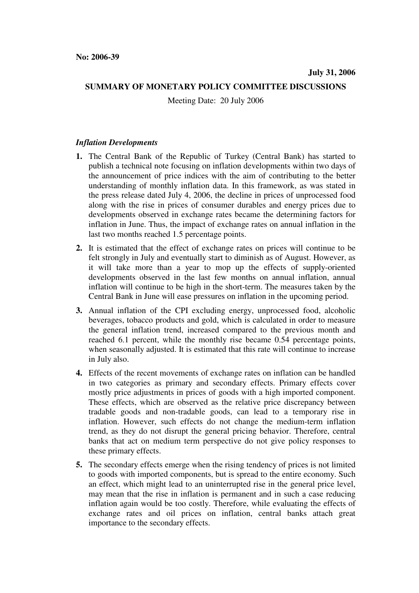## **SUMMARY OF MONETARY POLICY COMMITTEE DISCUSSIONS**

Meeting Date: 20 July 2006

## *Inflation Developments*

- **1.** The Central Bank of the Republic of Turkey (Central Bank) has started to publish a technical note focusing on inflation developments within two days of the announcement of price indices with the aim of contributing to the better understanding of monthly inflation data. In this framework, as was stated in the press release dated July 4, 2006, the decline in prices of unprocessed food along with the rise in prices of consumer durables and energy prices due to developments observed in exchange rates became the determining factors for inflation in June. Thus, the impact of exchange rates on annual inflation in the last two months reached 1.5 percentage points.
- **2.** It is estimated that the effect of exchange rates on prices will continue to be felt strongly in July and eventually start to diminish as of August. However, as it will take more than a year to mop up the effects of supply-oriented developments observed in the last few months on annual inflation, annual inflation will continue to be high in the short-term. The measures taken by the Central Bank in June will ease pressures on inflation in the upcoming period.
- **3.** Annual inflation of the CPI excluding energy, unprocessed food, alcoholic beverages, tobacco products and gold, which is calculated in order to measure the general inflation trend, increased compared to the previous month and reached 6.1 percent, while the monthly rise became 0.54 percentage points, when seasonally adjusted. It is estimated that this rate will continue to increase in July also.
- **4.** Effects of the recent movements of exchange rates on inflation can be handled in two categories as primary and secondary effects. Primary effects cover mostly price adjustments in prices of goods with a high imported component. These effects, which are observed as the relative price discrepancy between tradable goods and non-tradable goods, can lead to a temporary rise in inflation. However, such effects do not change the medium-term inflation trend, as they do not disrupt the general pricing behavior. Therefore, central banks that act on medium term perspective do not give policy responses to these primary effects.
- **5.** The secondary effects emerge when the rising tendency of prices is not limited to goods with imported components, but is spread to the entire economy. Such an effect, which might lead to an uninterrupted rise in the general price level, may mean that the rise in inflation is permanent and in such a case reducing inflation again would be too costly. Therefore, while evaluating the effects of exchange rates and oil prices on inflation, central banks attach great importance to the secondary effects.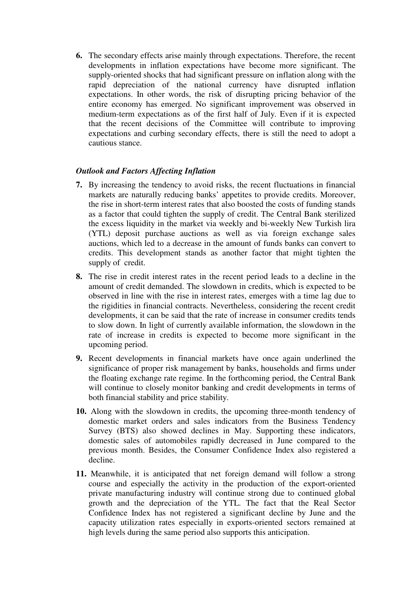**6.** The secondary effects arise mainly through expectations. Therefore, the recent developments in inflation expectations have become more significant. The supply-oriented shocks that had significant pressure on inflation along with the rapid depreciation of the national currency have disrupted inflation expectations. In other words, the risk of disrupting pricing behavior of the entire economy has emerged. No significant improvement was observed in medium-term expectations as of the first half of July. Even if it is expected that the recent decisions of the Committee will contribute to improving expectations and curbing secondary effects, there is still the need to adopt a cautious stance.

## *Outlook and Factors Affecting Inflation*

- **7.** By increasing the tendency to avoid risks, the recent fluctuations in financial markets are naturally reducing banks' appetites to provide credits. Moreover, the rise in short-term interest rates that also boosted the costs of funding stands as a factor that could tighten the supply of credit. The Central Bank sterilized the excess liquidity in the market via weekly and bi-weekly New Turkish lira (YTL) deposit purchase auctions as well as via foreign exchange sales auctions, which led to a decrease in the amount of funds banks can convert to credits. This development stands as another factor that might tighten the supply of credit.
- **8.** The rise in credit interest rates in the recent period leads to a decline in the amount of credit demanded. The slowdown in credits, which is expected to be observed in line with the rise in interest rates, emerges with a time lag due to the rigidities in financial contracts. Nevertheless, considering the recent credit developments, it can be said that the rate of increase in consumer credits tends to slow down. In light of currently available information, the slowdown in the rate of increase in credits is expected to become more significant in the upcoming period.
- **9.** Recent developments in financial markets have once again underlined the significance of proper risk management by banks, households and firms under the floating exchange rate regime. In the forthcoming period, the Central Bank will continue to closely monitor banking and credit developments in terms of both financial stability and price stability.
- **10.** Along with the slowdown in credits, the upcoming three-month tendency of domestic market orders and sales indicators from the Business Tendency Survey (BTS) also showed declines in May. Supporting these indicators, domestic sales of automobiles rapidly decreased in June compared to the previous month. Besides, the Consumer Confidence Index also registered a decline.
- **11.** Meanwhile, it is anticipated that net foreign demand will follow a strong course and especially the activity in the production of the export-oriented private manufacturing industry will continue strong due to continued global growth and the depreciation of the YTL. The fact that the Real Sector Confidence Index has not registered a significant decline by June and the capacity utilization rates especially in exports-oriented sectors remained at high levels during the same period also supports this anticipation.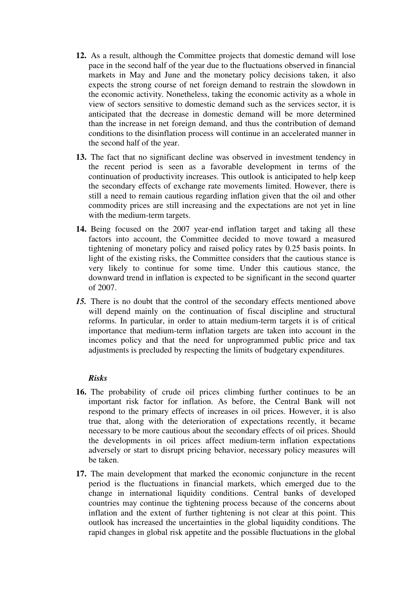- **12.** As a result, although the Committee projects that domestic demand will lose pace in the second half of the year due to the fluctuations observed in financial markets in May and June and the monetary policy decisions taken, it also expects the strong course of net foreign demand to restrain the slowdown in the economic activity. Nonetheless, taking the economic activity as a whole in view of sectors sensitive to domestic demand such as the services sector, it is anticipated that the decrease in domestic demand will be more determined than the increase in net foreign demand, and thus the contribution of demand conditions to the disinflation process will continue in an accelerated manner in the second half of the year.
- **13.** The fact that no significant decline was observed in investment tendency in the recent period is seen as a favorable development in terms of the continuation of productivity increases. This outlook is anticipated to help keep the secondary effects of exchange rate movements limited. However, there is still a need to remain cautious regarding inflation given that the oil and other commodity prices are still increasing and the expectations are not yet in line with the medium-term targets.
- **14.** Being focused on the 2007 year-end inflation target and taking all these factors into account, the Committee decided to move toward a measured tightening of monetary policy and raised policy rates by 0.25 basis points. In light of the existing risks, the Committee considers that the cautious stance is very likely to continue for some time. Under this cautious stance, the downward trend in inflation is expected to be significant in the second quarter of 2007.
- *15.* There is no doubt that the control of the secondary effects mentioned above will depend mainly on the continuation of fiscal discipline and structural reforms. In particular, in order to attain medium-term targets it is of critical importance that medium-term inflation targets are taken into account in the incomes policy and that the need for unprogrammed public price and tax adjustments is precluded by respecting the limits of budgetary expenditures.

## *Risks*

- **16.** The probability of crude oil prices climbing further continues to be an important risk factor for inflation. As before, the Central Bank will not respond to the primary effects of increases in oil prices. However, it is also true that, along with the deterioration of expectations recently, it became necessary to be more cautious about the secondary effects of oil prices. Should the developments in oil prices affect medium-term inflation expectations adversely or start to disrupt pricing behavior, necessary policy measures will be taken.
- **17.** The main development that marked the economic conjuncture in the recent period is the fluctuations in financial markets, which emerged due to the change in international liquidity conditions. Central banks of developed countries may continue the tightening process because of the concerns about inflation and the extent of further tightening is not clear at this point. This outlook has increased the uncertainties in the global liquidity conditions. The rapid changes in global risk appetite and the possible fluctuations in the global